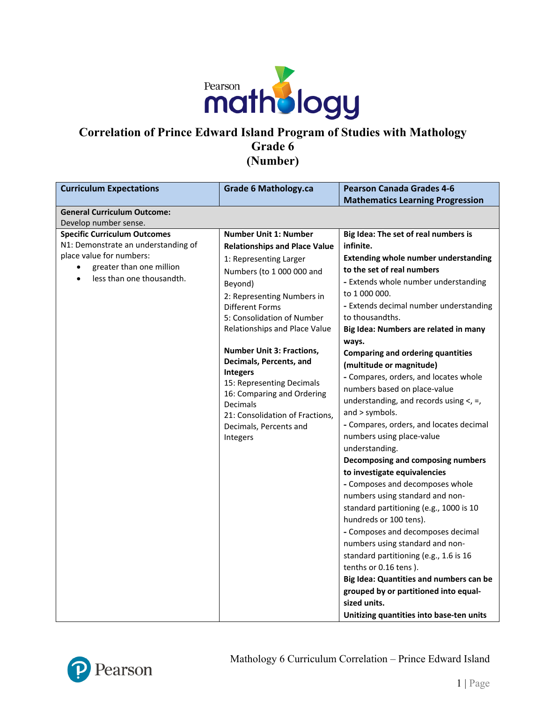

## **Correlation of Prince Edward Island Program of Studies with Mathology Grade 6 (Number)**

| <b>Curriculum Expectations</b>                        | <b>Grade 6 Mathology.ca</b>                                 | <b>Pearson Canada Grades 4-6</b>            |
|-------------------------------------------------------|-------------------------------------------------------------|---------------------------------------------|
|                                                       |                                                             | <b>Mathematics Learning Progression</b>     |
| <b>General Curriculum Outcome:</b>                    |                                                             |                                             |
| Develop number sense.                                 |                                                             |                                             |
| <b>Specific Curriculum Outcomes</b>                   | <b>Number Unit 1: Number</b>                                | Big Idea: The set of real numbers is        |
| N1: Demonstrate an understanding of                   | <b>Relationships and Place Value</b>                        | infinite.                                   |
| place value for numbers:                              | 1: Representing Larger                                      | <b>Extending whole number understanding</b> |
| greater than one million<br>less than one thousandth. | Numbers (to 1 000 000 and                                   | to the set of real numbers                  |
|                                                       | Beyond)                                                     | - Extends whole number understanding        |
|                                                       | 2: Representing Numbers in                                  | to 1 000 000.                               |
|                                                       | Different Forms                                             | - Extends decimal number understanding      |
|                                                       | 5: Consolidation of Number                                  | to thousandths.                             |
|                                                       | Relationships and Place Value                               | Big Idea: Numbers are related in many       |
|                                                       |                                                             | ways.                                       |
|                                                       | <b>Number Unit 3: Fractions,</b><br>Decimals, Percents, and | <b>Comparing and ordering quantities</b>    |
|                                                       | <b>Integers</b>                                             | (multitude or magnitude)                    |
|                                                       | 15: Representing Decimals                                   | - Compares, orders, and locates whole       |
|                                                       | 16: Comparing and Ordering                                  | numbers based on place-value                |
|                                                       | Decimals                                                    | understanding, and records using $\lt$ , =, |
|                                                       | 21: Consolidation of Fractions,                             | and > symbols.                              |
|                                                       | Decimals, Percents and                                      | - Compares, orders, and locates decimal     |
|                                                       | Integers                                                    | numbers using place-value                   |
|                                                       |                                                             | understanding.                              |
|                                                       |                                                             | Decomposing and composing numbers           |
|                                                       |                                                             | to investigate equivalencies                |
|                                                       |                                                             | - Composes and decomposes whole             |
|                                                       |                                                             | numbers using standard and non-             |
|                                                       |                                                             | standard partitioning (e.g., 1000 is 10     |
|                                                       |                                                             | hundreds or 100 tens).                      |
|                                                       |                                                             | - Composes and decomposes decimal           |
|                                                       |                                                             | numbers using standard and non-             |
|                                                       |                                                             | standard partitioning (e.g., 1.6 is 16      |
|                                                       |                                                             | tenths or 0.16 tens).                       |
|                                                       |                                                             | Big Idea: Quantities and numbers can be     |
|                                                       |                                                             | grouped by or partitioned into equal-       |
|                                                       |                                                             | sized units.                                |
|                                                       |                                                             | Unitizing quantities into base-ten units    |

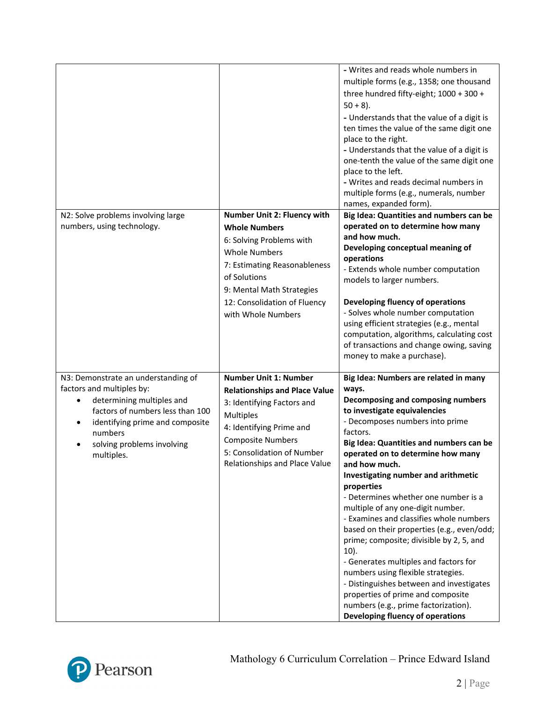|                                                                                                                                                                                                                                                       |                                                                                                                                                                                                                                               | - Writes and reads whole numbers in<br>multiple forms (e.g., 1358; one thousand<br>three hundred fifty-eight; 1000 + 300 +<br>$50 + 8$ ).<br>- Understands that the value of a digit is<br>ten times the value of the same digit one<br>place to the right.<br>- Understands that the value of a digit is<br>one-tenth the value of the same digit one<br>place to the left.<br>- Writes and reads decimal numbers in<br>multiple forms (e.g., numerals, number<br>names, expanded form).                                                                                                                                                                                                                                                                                                         |
|-------------------------------------------------------------------------------------------------------------------------------------------------------------------------------------------------------------------------------------------------------|-----------------------------------------------------------------------------------------------------------------------------------------------------------------------------------------------------------------------------------------------|---------------------------------------------------------------------------------------------------------------------------------------------------------------------------------------------------------------------------------------------------------------------------------------------------------------------------------------------------------------------------------------------------------------------------------------------------------------------------------------------------------------------------------------------------------------------------------------------------------------------------------------------------------------------------------------------------------------------------------------------------------------------------------------------------|
| N2: Solve problems involving large<br>numbers, using technology.                                                                                                                                                                                      | Number Unit 2: Fluency with<br><b>Whole Numbers</b><br>6: Solving Problems with<br><b>Whole Numbers</b><br>7: Estimating Reasonableness<br>of Solutions<br>9: Mental Math Strategies<br>12: Consolidation of Fluency<br>with Whole Numbers    | Big Idea: Quantities and numbers can be<br>operated on to determine how many<br>and how much.<br>Developing conceptual meaning of<br>operations<br>- Extends whole number computation<br>models to larger numbers.<br>Developing fluency of operations<br>- Solves whole number computation<br>using efficient strategies (e.g., mental<br>computation, algorithms, calculating cost<br>of transactions and change owing, saving<br>money to make a purchase).                                                                                                                                                                                                                                                                                                                                    |
| N3: Demonstrate an understanding of<br>factors and multiples by:<br>determining multiples and<br>$\bullet$<br>factors of numbers less than 100<br>identifying prime and composite<br>$\bullet$<br>numbers<br>solving problems involving<br>multiples. | <b>Number Unit 1: Number</b><br><b>Relationships and Place Value</b><br>3: Identifying Factors and<br><b>Multiples</b><br>4: Identifying Prime and<br><b>Composite Numbers</b><br>5: Consolidation of Number<br>Relationships and Place Value | Big Idea: Numbers are related in many<br>ways.<br>Decomposing and composing numbers<br>to investigate equivalencies<br>- Decomposes numbers into prime<br>factors.<br>Big Idea: Quantities and numbers can be<br>operated on to determine how many<br>and how much.<br>Investigating number and arithmetic<br>properties<br>- Determines whether one number is a<br>multiple of any one-digit number.<br>- Examines and classifies whole numbers<br>based on their properties (e.g., even/odd;<br>prime; composite; divisible by 2, 5, and<br>$10$ ).<br>- Generates multiples and factors for<br>numbers using flexible strategies.<br>- Distinguishes between and investigates<br>properties of prime and composite<br>numbers (e.g., prime factorization).<br>Developing fluency of operations |

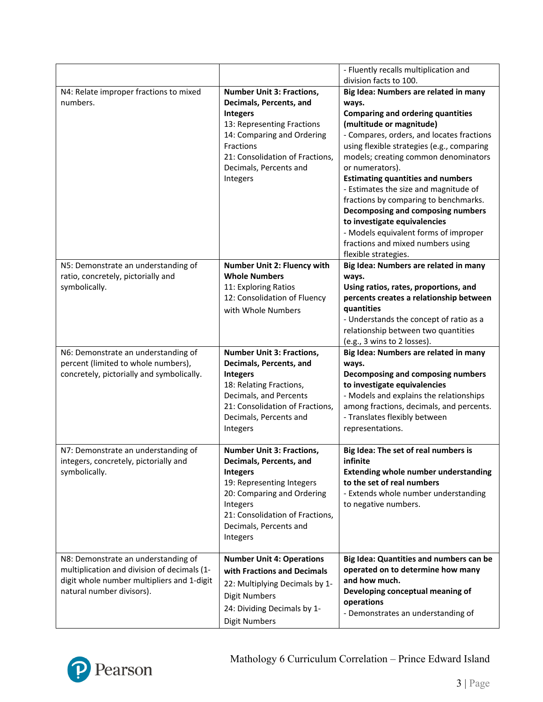|                                             |                                  | - Fluently recalls multiplication and                                             |
|---------------------------------------------|----------------------------------|-----------------------------------------------------------------------------------|
|                                             |                                  | division facts to 100.                                                            |
| N4: Relate improper fractions to mixed      | <b>Number Unit 3: Fractions,</b> | Big Idea: Numbers are related in many                                             |
| numbers.                                    | Decimals, Percents, and          | ways.                                                                             |
|                                             | <b>Integers</b>                  | <b>Comparing and ordering quantities</b>                                          |
|                                             | 13: Representing Fractions       | (multitude or magnitude)                                                          |
|                                             | 14: Comparing and Ordering       | - Compares, orders, and locates fractions                                         |
|                                             | Fractions                        | using flexible strategies (e.g., comparing                                        |
|                                             | 21: Consolidation of Fractions,  | models; creating common denominators                                              |
|                                             | Decimals, Percents and           | or numerators).                                                                   |
|                                             | Integers                         | <b>Estimating quantities and numbers</b><br>- Estimates the size and magnitude of |
|                                             |                                  | fractions by comparing to benchmarks.                                             |
|                                             |                                  | Decomposing and composing numbers                                                 |
|                                             |                                  | to investigate equivalencies                                                      |
|                                             |                                  | - Models equivalent forms of improper                                             |
|                                             |                                  | fractions and mixed numbers using                                                 |
|                                             |                                  | flexible strategies.                                                              |
| N5: Demonstrate an understanding of         | Number Unit 2: Fluency with      | Big Idea: Numbers are related in many                                             |
| ratio, concretely, pictorially and          | <b>Whole Numbers</b>             | ways.                                                                             |
| symbolically.                               | 11: Exploring Ratios             | Using ratios, rates, proportions, and                                             |
|                                             | 12: Consolidation of Fluency     | percents creates a relationship between                                           |
|                                             | with Whole Numbers               | quantities                                                                        |
|                                             |                                  | - Understands the concept of ratio as a                                           |
|                                             |                                  | relationship between two quantities                                               |
|                                             |                                  | (e.g., 3 wins to 2 losses).                                                       |
|                                             |                                  | Big Idea: Numbers are related in many                                             |
| N6: Demonstrate an understanding of         | <b>Number Unit 3: Fractions,</b> |                                                                                   |
| percent (limited to whole numbers),         | Decimals, Percents, and          | ways.                                                                             |
| concretely, pictorially and symbolically.   | <b>Integers</b>                  | Decomposing and composing numbers                                                 |
|                                             | 18: Relating Fractions,          | to investigate equivalencies                                                      |
|                                             | Decimals, and Percents           | - Models and explains the relationships                                           |
|                                             | 21: Consolidation of Fractions,  | among fractions, decimals, and percents.                                          |
|                                             | Decimals, Percents and           | - Translates flexibly between                                                     |
|                                             | Integers                         | representations.                                                                  |
|                                             |                                  |                                                                                   |
| N7: Demonstrate an understanding of         | <b>Number Unit 3: Fractions,</b> | Big Idea: The set of real numbers is                                              |
| integers, concretely, pictorially and       | Decimals, Percents, and          | infinite                                                                          |
| symbolically.                               | <b>Integers</b>                  | <b>Extending whole number understanding</b>                                       |
|                                             | 19: Representing Integers        | to the set of real numbers                                                        |
|                                             | 20: Comparing and Ordering       | - Extends whole number understanding                                              |
|                                             | Integers                         | to negative numbers.                                                              |
|                                             | 21: Consolidation of Fractions,  |                                                                                   |
|                                             | Decimals, Percents and           |                                                                                   |
|                                             | Integers                         |                                                                                   |
|                                             |                                  |                                                                                   |
| N8: Demonstrate an understanding of         | <b>Number Unit 4: Operations</b> | Big Idea: Quantities and numbers can be                                           |
| multiplication and division of decimals (1- | with Fractions and Decimals      | operated on to determine how many                                                 |
| digit whole number multipliers and 1-digit  | 22: Multiplying Decimals by 1-   | and how much.                                                                     |
| natural number divisors).                   | <b>Digit Numbers</b>             | Developing conceptual meaning of                                                  |
|                                             | 24: Dividing Decimals by 1-      | operations<br>- Demonstrates an understanding of                                  |

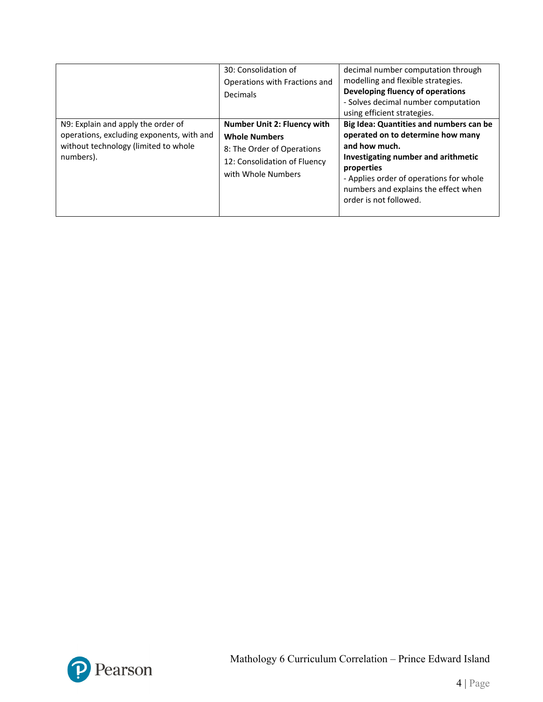|                                                                                                                                      | 30: Consolidation of<br>Operations with Fractions and<br>Decimals                                                                              | decimal number computation through<br>modelling and flexible strategies.<br>Developing fluency of operations<br>- Solves decimal number computation<br>using efficient strategies.                                                                              |
|--------------------------------------------------------------------------------------------------------------------------------------|------------------------------------------------------------------------------------------------------------------------------------------------|-----------------------------------------------------------------------------------------------------------------------------------------------------------------------------------------------------------------------------------------------------------------|
| N9: Explain and apply the order of<br>operations, excluding exponents, with and<br>without technology (limited to whole<br>numbers). | <b>Number Unit 2: Fluency with</b><br><b>Whole Numbers</b><br>8: The Order of Operations<br>12: Consolidation of Fluency<br>with Whole Numbers | Big Idea: Quantities and numbers can be<br>operated on to determine how many<br>and how much.<br>Investigating number and arithmetic<br>properties<br>- Applies order of operations for whole<br>numbers and explains the effect when<br>order is not followed. |

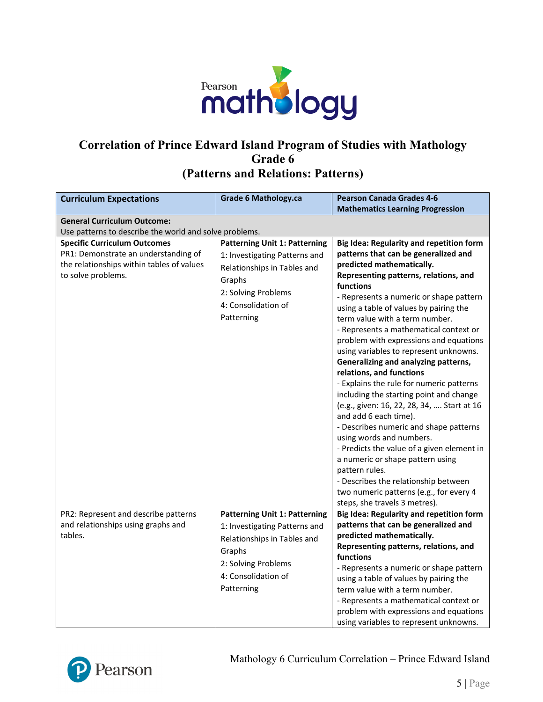

## **Correlation of Prince Edward Island Program of Studies with Mathology Grade 6 (Patterns and Relations: Patterns)**

| <b>Curriculum Expectations</b>                         | <b>Grade 6 Mathology.ca</b>          | <b>Pearson Canada Grades 4-6</b>           |
|--------------------------------------------------------|--------------------------------------|--------------------------------------------|
|                                                        |                                      | <b>Mathematics Learning Progression</b>    |
| <b>General Curriculum Outcome:</b>                     |                                      |                                            |
| Use patterns to describe the world and solve problems. |                                      |                                            |
| <b>Specific Curriculum Outcomes</b>                    | <b>Patterning Unit 1: Patterning</b> | Big Idea: Regularity and repetition form   |
| PR1: Demonstrate an understanding of                   | 1: Investigating Patterns and        | patterns that can be generalized and       |
| the relationships within tables of values              | Relationships in Tables and          | predicted mathematically.                  |
| to solve problems.                                     | Graphs                               | Representing patterns, relations, and      |
|                                                        | 2: Solving Problems                  | <b>functions</b>                           |
|                                                        |                                      | - Represents a numeric or shape pattern    |
|                                                        | 4: Consolidation of                  | using a table of values by pairing the     |
|                                                        | Patterning                           | term value with a term number.             |
|                                                        |                                      | - Represents a mathematical context or     |
|                                                        |                                      | problem with expressions and equations     |
|                                                        |                                      | using variables to represent unknowns.     |
|                                                        |                                      | Generalizing and analyzing patterns,       |
|                                                        |                                      | relations, and functions                   |
|                                                        |                                      | - Explains the rule for numeric patterns   |
|                                                        |                                      | including the starting point and change    |
|                                                        |                                      | (e.g., given: 16, 22, 28, 34,  Start at 16 |
|                                                        |                                      | and add 6 each time).                      |
|                                                        |                                      | - Describes numeric and shape patterns     |
|                                                        |                                      | using words and numbers.                   |
|                                                        |                                      | - Predicts the value of a given element in |
|                                                        |                                      | a numeric or shape pattern using           |
|                                                        |                                      | pattern rules.                             |
|                                                        |                                      | - Describes the relationship between       |
|                                                        |                                      | two numeric patterns (e.g., for every 4    |
|                                                        |                                      | steps, she travels 3 metres).              |
| PR2: Represent and describe patterns                   | <b>Patterning Unit 1: Patterning</b> | Big Idea: Regularity and repetition form   |
| and relationships using graphs and                     | 1: Investigating Patterns and        | patterns that can be generalized and       |
| tables.                                                | Relationships in Tables and          | predicted mathematically.                  |
|                                                        | Graphs                               | Representing patterns, relations, and      |
|                                                        | 2: Solving Problems                  | functions                                  |
|                                                        | 4: Consolidation of                  | - Represents a numeric or shape pattern    |
|                                                        |                                      | using a table of values by pairing the     |
|                                                        | Patterning                           | term value with a term number.             |
|                                                        |                                      | - Represents a mathematical context or     |
|                                                        |                                      | problem with expressions and equations     |
|                                                        |                                      | using variables to represent unknowns.     |

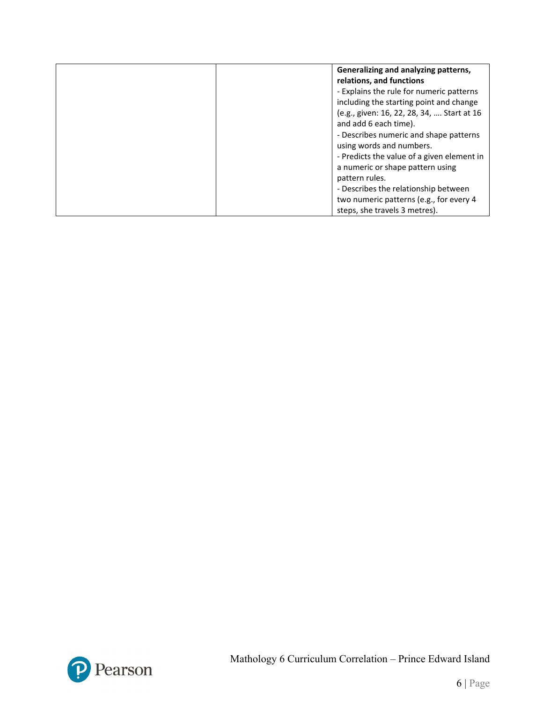| Generalizing and analyzing patterns,<br>relations, and functions                                                 |
|------------------------------------------------------------------------------------------------------------------|
| - Explains the rule for numeric patterns<br>including the starting point and change                              |
| (e.g., given: 16, 22, 28, 34,  Start at 16<br>and add 6 each time).                                              |
| - Describes numeric and shape patterns<br>using words and numbers.                                               |
| - Predicts the value of a given element in<br>a numeric or shape pattern using<br>pattern rules.                 |
| - Describes the relationship between<br>two numeric patterns (e.g., for every 4<br>steps, she travels 3 metres). |

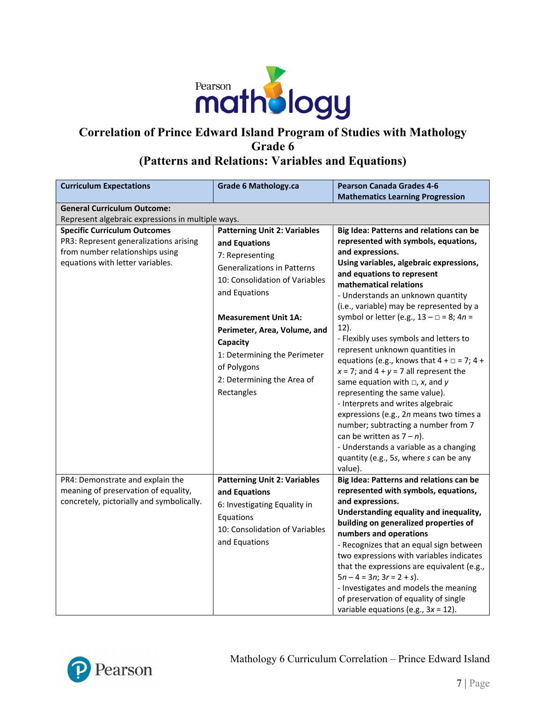

## **Correlation of Prince Edward Island Program of Studies with Mathology Grade 6 (Patterns and Relations: Variables and Equations)**

| <b>Curriculum Expectations</b>                    | <b>Grade 6 Mathology.ca</b>         | <b>Pearson Canada Grades 4-6</b>                                       |
|---------------------------------------------------|-------------------------------------|------------------------------------------------------------------------|
|                                                   |                                     | <b>Mathematics Learning Progression</b>                                |
| <b>General Curriculum Outcome:</b>                |                                     |                                                                        |
| Represent algebraic expressions in multiple ways. |                                     |                                                                        |
| <b>Specific Curriculum Outcomes</b>               | <b>Patterning Unit 2: Variables</b> | Big Idea: Patterns and relations can be                                |
| PR3: Represent generalizations arising            | and Equations                       | represented with symbols, equations,                                   |
| from number relationships using                   | 7: Representing                     | and expressions.                                                       |
| equations with letter variables.                  | <b>Generalizations in Patterns</b>  | Using variables, algebraic expressions,<br>and equations to represent  |
|                                                   | 10: Consolidation of Variables      | mathematical relations                                                 |
|                                                   | and Equations                       | - Understands an unknown quantity                                      |
|                                                   |                                     | (i.e., variable) may be represented by a                               |
|                                                   | <b>Measurement Unit 1A:</b>         | symbol or letter (e.g., $13 - \square = 8$ ; $4n =$                    |
|                                                   | Perimeter, Area, Volume, and        | $12$ ).                                                                |
|                                                   | Capacity                            | - Flexibly uses symbols and letters to                                 |
|                                                   |                                     | represent unknown quantities in                                        |
|                                                   | 1: Determining the Perimeter        | equations (e.g., knows that $4 + \square = 7$ ; $4 +$                  |
|                                                   | of Polygons                         | $x = 7$ ; and $4 + y = 7$ all represent the                            |
|                                                   | 2: Determining the Area of          | same equation with $\Box$ , x, and y                                   |
|                                                   | Rectangles                          | representing the same value).                                          |
|                                                   |                                     | - Interprets and writes algebraic                                      |
|                                                   |                                     | expressions (e.g., 2n means two times a                                |
|                                                   |                                     | number; subtracting a number from 7                                    |
|                                                   |                                     | can be written as $7 - n$ ).<br>- Understands a variable as a changing |
|                                                   |                                     | quantity (e.g., 5s, where s can be any                                 |
|                                                   |                                     | value).                                                                |
| PR4: Demonstrate and explain the                  | <b>Patterning Unit 2: Variables</b> | Big Idea: Patterns and relations can be                                |
| meaning of preservation of equality,              | and Equations                       | represented with symbols, equations,                                   |
| concretely, pictorially and symbolically.         | 6: Investigating Equality in        | and expressions.                                                       |
|                                                   |                                     | Understanding equality and inequality,                                 |
|                                                   | Equations                           | building on generalized properties of                                  |
|                                                   | 10: Consolidation of Variables      | numbers and operations                                                 |
|                                                   | and Equations                       | - Recognizes that an equal sign between                                |
|                                                   |                                     | two expressions with variables indicates                               |
|                                                   |                                     | that the expressions are equivalent (e.g.,                             |
|                                                   |                                     | $5n - 4 = 3n$ ; $3r = 2 + s$ ).                                        |
|                                                   |                                     | - Investigates and models the meaning                                  |
|                                                   |                                     | of preservation of equality of single                                  |
|                                                   |                                     | variable equations (e.g., $3x = 12$ ).                                 |

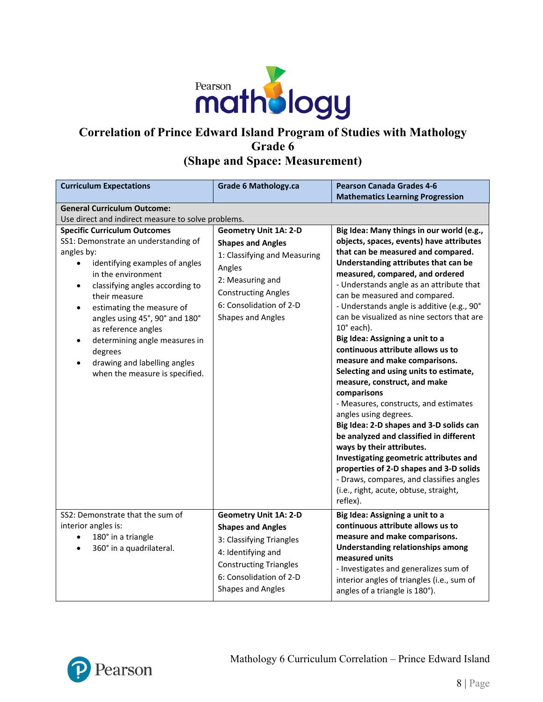

# **Correlation of Prince Edward Island Program of Studies with Mathology Grade 6 (Shape and Space: Measurement)**

| <b>Curriculum Expectations</b>                                                                                                                                                                                                                                                                                                                                                                                                                   | <b>Grade 6 Mathology.ca</b>                                                                                                                                                                                 | <b>Pearson Canada Grades 4-6</b><br><b>Mathematics Learning Progression</b>                                                                                                                                                                                                                                                                                                                                                                                                                                                                                                                                                                                                                                                                                                                                                                                                                                                                                                        |
|--------------------------------------------------------------------------------------------------------------------------------------------------------------------------------------------------------------------------------------------------------------------------------------------------------------------------------------------------------------------------------------------------------------------------------------------------|-------------------------------------------------------------------------------------------------------------------------------------------------------------------------------------------------------------|------------------------------------------------------------------------------------------------------------------------------------------------------------------------------------------------------------------------------------------------------------------------------------------------------------------------------------------------------------------------------------------------------------------------------------------------------------------------------------------------------------------------------------------------------------------------------------------------------------------------------------------------------------------------------------------------------------------------------------------------------------------------------------------------------------------------------------------------------------------------------------------------------------------------------------------------------------------------------------|
| <b>General Curriculum Outcome:</b><br>Use direct and indirect measure to solve problems.                                                                                                                                                                                                                                                                                                                                                         |                                                                                                                                                                                                             |                                                                                                                                                                                                                                                                                                                                                                                                                                                                                                                                                                                                                                                                                                                                                                                                                                                                                                                                                                                    |
| <b>Specific Curriculum Outcomes</b><br>SS1: Demonstrate an understanding of<br>angles by:<br>identifying examples of angles<br>in the environment<br>classifying angles according to<br>$\bullet$<br>their measure<br>estimating the measure of<br>$\bullet$<br>angles using 45°, 90° and 180°<br>as reference angles<br>determining angle measures in<br>$\bullet$<br>degrees<br>drawing and labelling angles<br>when the measure is specified. | <b>Geometry Unit 1A: 2-D</b><br><b>Shapes and Angles</b><br>1: Classifying and Measuring<br>Angles<br>2: Measuring and<br><b>Constructing Angles</b><br>6: Consolidation of 2-D<br><b>Shapes and Angles</b> | Big Idea: Many things in our world (e.g.,<br>objects, spaces, events) have attributes<br>that can be measured and compared.<br>Understanding attributes that can be<br>measured, compared, and ordered<br>- Understands angle as an attribute that<br>can be measured and compared.<br>- Understands angle is additive (e.g., 90°<br>can be visualized as nine sectors that are<br>$10^\circ$ each).<br>Big Idea: Assigning a unit to a<br>continuous attribute allows us to<br>measure and make comparisons.<br>Selecting and using units to estimate,<br>measure, construct, and make<br>comparisons<br>- Measures, constructs, and estimates<br>angles using degrees.<br>Big Idea: 2-D shapes and 3-D solids can<br>be analyzed and classified in different<br>ways by their attributes.<br>Investigating geometric attributes and<br>properties of 2-D shapes and 3-D solids<br>- Draws, compares, and classifies angles<br>(i.e., right, acute, obtuse, straight,<br>reflex). |
| SS2: Demonstrate that the sum of<br>interior angles is:<br>180° in a triangle<br>$\bullet$<br>360° in a quadrilateral.<br>$\bullet$                                                                                                                                                                                                                                                                                                              | <b>Geometry Unit 1A: 2-D</b><br><b>Shapes and Angles</b><br>3: Classifying Triangles<br>4: Identifying and<br><b>Constructing Triangles</b><br>6: Consolidation of 2-D<br><b>Shapes and Angles</b>          | Big Idea: Assigning a unit to a<br>continuous attribute allows us to<br>measure and make comparisons.<br><b>Understanding relationships among</b><br>measured units<br>- Investigates and generalizes sum of<br>interior angles of triangles (i.e., sum of<br>angles of a triangle is 180°).                                                                                                                                                                                                                                                                                                                                                                                                                                                                                                                                                                                                                                                                                       |

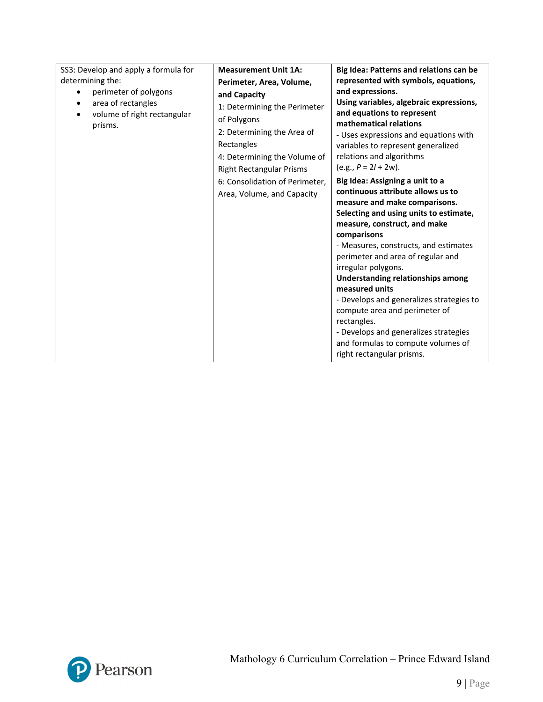| SS3: Develop and apply a formula for<br>determining the:<br>perimeter of polygons<br>area of rectangles<br>volume of right rectangular<br>prisms. | <b>Measurement Unit 1A:</b><br>Perimeter, Area, Volume,<br>and Capacity<br>1: Determining the Perimeter<br>of Polygons<br>2: Determining the Area of<br>Rectangles<br>4: Determining the Volume of<br><b>Right Rectangular Prisms</b><br>6: Consolidation of Perimeter,<br>Area, Volume, and Capacity | Big Idea: Patterns and relations can be<br>represented with symbols, equations,<br>and expressions.<br>Using variables, algebraic expressions,<br>and equations to represent<br>mathematical relations<br>- Uses expressions and equations with<br>variables to represent generalized<br>relations and algorithms<br>$(e.g., P = 2l + 2w).$<br>Big Idea: Assigning a unit to a<br>continuous attribute allows us to<br>measure and make comparisons.<br>Selecting and using units to estimate,<br>measure, construct, and make<br>comparisons<br>- Measures, constructs, and estimates<br>perimeter and area of regular and<br>irregular polygons.<br><b>Understanding relationships among</b><br>measured units<br>- Develops and generalizes strategies to<br>compute area and perimeter of<br>rectangles.<br>- Develops and generalizes strategies<br>and formulas to compute volumes of<br>right rectangular prisms. |
|---------------------------------------------------------------------------------------------------------------------------------------------------|-------------------------------------------------------------------------------------------------------------------------------------------------------------------------------------------------------------------------------------------------------------------------------------------------------|--------------------------------------------------------------------------------------------------------------------------------------------------------------------------------------------------------------------------------------------------------------------------------------------------------------------------------------------------------------------------------------------------------------------------------------------------------------------------------------------------------------------------------------------------------------------------------------------------------------------------------------------------------------------------------------------------------------------------------------------------------------------------------------------------------------------------------------------------------------------------------------------------------------------------|
|---------------------------------------------------------------------------------------------------------------------------------------------------|-------------------------------------------------------------------------------------------------------------------------------------------------------------------------------------------------------------------------------------------------------------------------------------------------------|--------------------------------------------------------------------------------------------------------------------------------------------------------------------------------------------------------------------------------------------------------------------------------------------------------------------------------------------------------------------------------------------------------------------------------------------------------------------------------------------------------------------------------------------------------------------------------------------------------------------------------------------------------------------------------------------------------------------------------------------------------------------------------------------------------------------------------------------------------------------------------------------------------------------------|

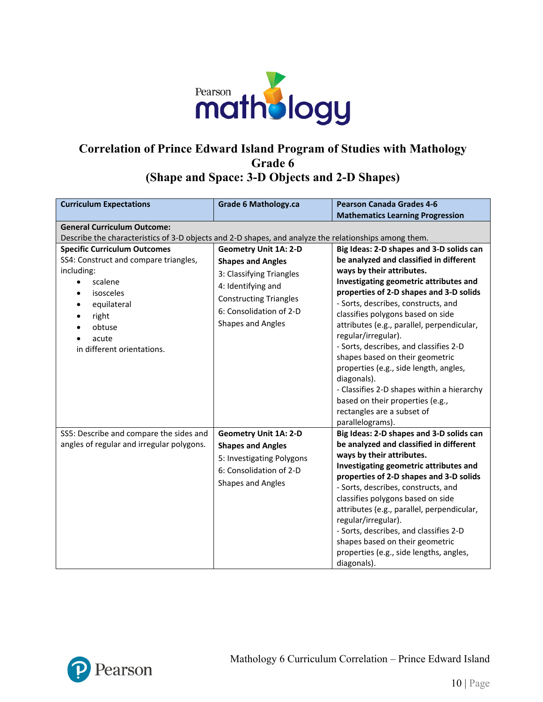

## **Correlation of Prince Edward Island Program of Studies with Mathology Grade 6 (Shape and Space: 3-D Objects and 2-D Shapes)**

| <b>Curriculum Expectations</b>                                                                        | <b>Grade 6 Mathology.ca</b>   | <b>Pearson Canada Grades 4-6</b>                                  |
|-------------------------------------------------------------------------------------------------------|-------------------------------|-------------------------------------------------------------------|
|                                                                                                       |                               | <b>Mathematics Learning Progression</b>                           |
| <b>General Curriculum Outcome:</b>                                                                    |                               |                                                                   |
| Describe the characteristics of 3-D objects and 2-D shapes, and analyze the relationships among them. |                               |                                                                   |
| <b>Specific Curriculum Outcomes</b>                                                                   | <b>Geometry Unit 1A: 2-D</b>  | Big Ideas: 2-D shapes and 3-D solids can                          |
| SS4: Construct and compare triangles,                                                                 | <b>Shapes and Angles</b>      | be analyzed and classified in different                           |
| including:                                                                                            | 3: Classifying Triangles      | ways by their attributes.                                         |
| scalene                                                                                               | 4: Identifying and            | Investigating geometric attributes and                            |
| isosceles<br>$\bullet$                                                                                | <b>Constructing Triangles</b> | properties of 2-D shapes and 3-D solids                           |
| equilateral                                                                                           | 6: Consolidation of 2-D       | - Sorts, describes, constructs, and                               |
| right                                                                                                 | <b>Shapes and Angles</b>      | classifies polygons based on side                                 |
| obtuse                                                                                                |                               | attributes (e.g., parallel, perpendicular,<br>regular/irregular). |
| acute<br>$\bullet$                                                                                    |                               | - Sorts, describes, and classifies 2-D                            |
| in different orientations.                                                                            |                               | shapes based on their geometric                                   |
|                                                                                                       |                               | properties (e.g., side length, angles,                            |
|                                                                                                       |                               | diagonals).                                                       |
|                                                                                                       |                               | - Classifies 2-D shapes within a hierarchy                        |
|                                                                                                       |                               | based on their properties (e.g.,                                  |
|                                                                                                       |                               | rectangles are a subset of                                        |
|                                                                                                       |                               | parallelograms).                                                  |
| SS5: Describe and compare the sides and                                                               | <b>Geometry Unit 1A: 2-D</b>  | Big Ideas: 2-D shapes and 3-D solids can                          |
| angles of regular and irregular polygons.                                                             | <b>Shapes and Angles</b>      | be analyzed and classified in different                           |
|                                                                                                       | 5: Investigating Polygons     | ways by their attributes.                                         |
|                                                                                                       | 6: Consolidation of 2-D       | Investigating geometric attributes and                            |
|                                                                                                       |                               | properties of 2-D shapes and 3-D solids                           |
|                                                                                                       | <b>Shapes and Angles</b>      | - Sorts, describes, constructs, and                               |
|                                                                                                       |                               | classifies polygons based on side                                 |
|                                                                                                       |                               | attributes (e.g., parallel, perpendicular,                        |
|                                                                                                       |                               | regular/irregular).                                               |
|                                                                                                       |                               | - Sorts, describes, and classifies 2-D                            |
|                                                                                                       |                               | shapes based on their geometric                                   |
|                                                                                                       |                               | properties (e.g., side lengths, angles,                           |
|                                                                                                       |                               | diagonals).                                                       |

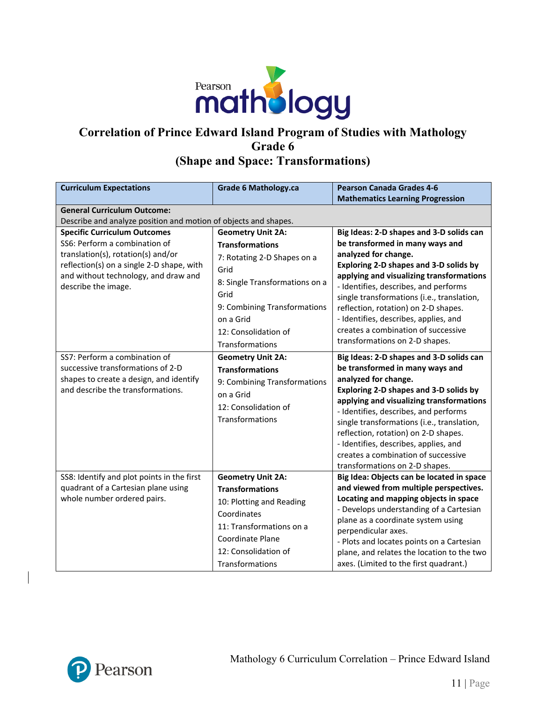

## **Correlation of Prince Edward Island Program of Studies with Mathology Grade 6 (Shape and Space: Transformations)**

| <b>Curriculum Expectations</b>                                                                                                                                                                                         | <b>Grade 6 Mathology.ca</b>                                                                                                                                                                                                 | <b>Pearson Canada Grades 4-6</b><br><b>Mathematics Learning Progression</b>                                                                                                                                                                                                                                                                                                                                                                |
|------------------------------------------------------------------------------------------------------------------------------------------------------------------------------------------------------------------------|-----------------------------------------------------------------------------------------------------------------------------------------------------------------------------------------------------------------------------|--------------------------------------------------------------------------------------------------------------------------------------------------------------------------------------------------------------------------------------------------------------------------------------------------------------------------------------------------------------------------------------------------------------------------------------------|
| <b>General Curriculum Outcome:</b><br>Describe and analyze position and motion of objects and shapes.                                                                                                                  |                                                                                                                                                                                                                             |                                                                                                                                                                                                                                                                                                                                                                                                                                            |
| <b>Specific Curriculum Outcomes</b><br>SS6: Perform a combination of<br>translation(s), rotation(s) and/or<br>reflection(s) on a single 2-D shape, with<br>and without technology, and draw and<br>describe the image. | <b>Geometry Unit 2A:</b><br><b>Transformations</b><br>7: Rotating 2-D Shapes on a<br>Grid<br>8: Single Transformations on a<br>Grid<br>9: Combining Transformations<br>on a Grid<br>12: Consolidation of<br>Transformations | Big Ideas: 2-D shapes and 3-D solids can<br>be transformed in many ways and<br>analyzed for change.<br>Exploring 2-D shapes and 3-D solids by<br>applying and visualizing transformations<br>- Identifies, describes, and performs<br>single transformations (i.e., translation,<br>reflection, rotation) on 2-D shapes.<br>- Identifies, describes, applies, and<br>creates a combination of successive<br>transformations on 2-D shapes. |
| SS7: Perform a combination of<br>successive transformations of 2-D<br>shapes to create a design, and identify<br>and describe the transformations.                                                                     | <b>Geometry Unit 2A:</b><br><b>Transformations</b><br>9: Combining Transformations<br>on a Grid<br>12: Consolidation of<br>Transformations                                                                                  | Big Ideas: 2-D shapes and 3-D solids can<br>be transformed in many ways and<br>analyzed for change.<br>Exploring 2-D shapes and 3-D solids by<br>applying and visualizing transformations<br>- Identifies, describes, and performs<br>single transformations (i.e., translation,<br>reflection, rotation) on 2-D shapes.<br>- Identifies, describes, applies, and<br>creates a combination of successive<br>transformations on 2-D shapes. |
| SS8: Identify and plot points in the first<br>quadrant of a Cartesian plane using<br>whole number ordered pairs.                                                                                                       | <b>Geometry Unit 2A:</b><br><b>Transformations</b><br>10: Plotting and Reading<br>Coordinates<br>11: Transformations on a<br>Coordinate Plane<br>12: Consolidation of<br>Transformations                                    | Big Idea: Objects can be located in space<br>and viewed from multiple perspectives.<br>Locating and mapping objects in space<br>- Develops understanding of a Cartesian<br>plane as a coordinate system using<br>perpendicular axes.<br>- Plots and locates points on a Cartesian<br>plane, and relates the location to the two<br>axes. (Limited to the first quadrant.)                                                                  |

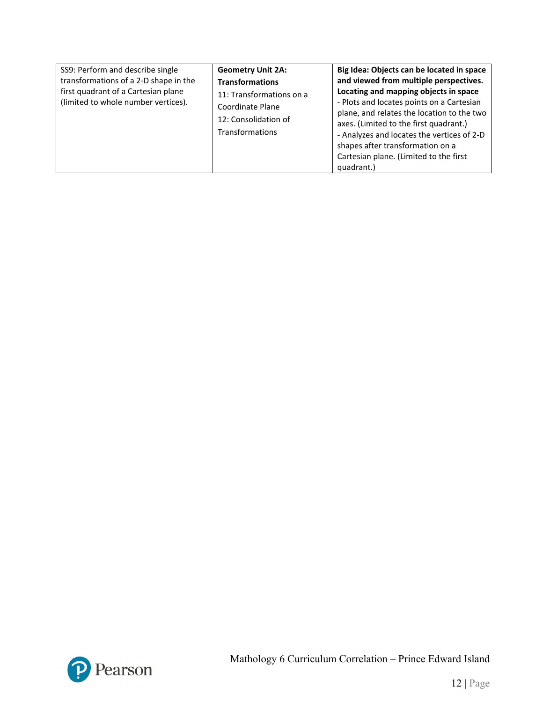| SS9: Perform and describe single<br>transformations of a 2-D shape in the<br>first quadrant of a Cartesian plane<br>(limited to whole number vertices). | <b>Geometry Unit 2A:</b><br><b>Transformations</b><br>11: Transformations on a<br>Coordinate Plane<br>12: Consolidation of<br><b>Transformations</b> | Big Idea: Objects can be located in space<br>and viewed from multiple perspectives.<br>Locating and mapping objects in space<br>- Plots and locates points on a Cartesian<br>plane, and relates the location to the two<br>axes. (Limited to the first quadrant.)<br>- Analyzes and locates the vertices of 2-D<br>shapes after transformation on a<br>Cartesian plane. (Limited to the first<br>quadrant.) |
|---------------------------------------------------------------------------------------------------------------------------------------------------------|------------------------------------------------------------------------------------------------------------------------------------------------------|-------------------------------------------------------------------------------------------------------------------------------------------------------------------------------------------------------------------------------------------------------------------------------------------------------------------------------------------------------------------------------------------------------------|
|---------------------------------------------------------------------------------------------------------------------------------------------------------|------------------------------------------------------------------------------------------------------------------------------------------------------|-------------------------------------------------------------------------------------------------------------------------------------------------------------------------------------------------------------------------------------------------------------------------------------------------------------------------------------------------------------------------------------------------------------|

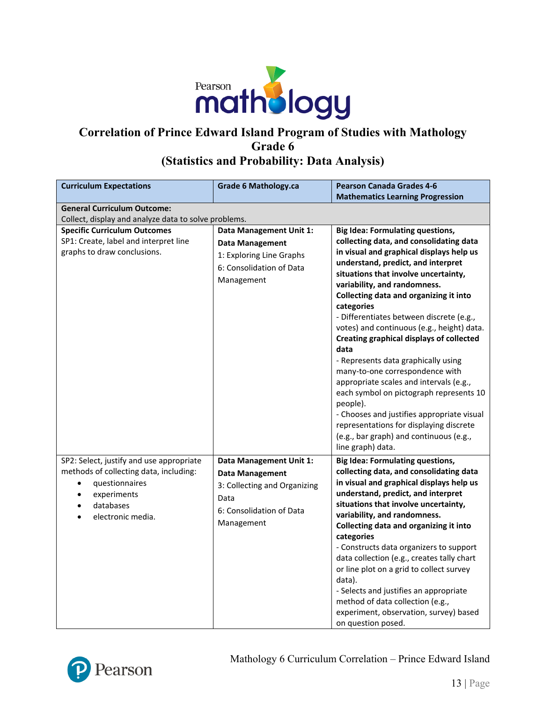

## **Correlation of Prince Edward Island Program of Studies with Mathology Grade 6 (Statistics and Probability: Data Analysis)**

| <b>Curriculum Expectations</b>                       | <b>Grade 6 Mathology.ca</b>    | <b>Pearson Canada Grades 4-6</b>                                           |  |
|------------------------------------------------------|--------------------------------|----------------------------------------------------------------------------|--|
|                                                      |                                | <b>Mathematics Learning Progression</b>                                    |  |
| <b>General Curriculum Outcome:</b>                   |                                |                                                                            |  |
| Collect, display and analyze data to solve problems. |                                |                                                                            |  |
| <b>Specific Curriculum Outcomes</b>                  | <b>Data Management Unit 1:</b> | <b>Big Idea: Formulating questions,</b>                                    |  |
| SP1: Create, label and interpret line                | <b>Data Management</b>         | collecting data, and consolidating data                                    |  |
| graphs to draw conclusions.                          | 1: Exploring Line Graphs       | in visual and graphical displays help us                                   |  |
|                                                      | 6: Consolidation of Data       | understand, predict, and interpret                                         |  |
|                                                      | Management                     | situations that involve uncertainty,                                       |  |
|                                                      |                                | variability, and randomness.                                               |  |
|                                                      |                                | Collecting data and organizing it into                                     |  |
|                                                      |                                | categories<br>- Differentiates between discrete (e.g.,                     |  |
|                                                      |                                | votes) and continuous (e.g., height) data.                                 |  |
|                                                      |                                | Creating graphical displays of collected                                   |  |
|                                                      |                                | data                                                                       |  |
|                                                      |                                | - Represents data graphically using                                        |  |
|                                                      |                                | many-to-one correspondence with                                            |  |
|                                                      |                                | appropriate scales and intervals (e.g.,                                    |  |
|                                                      |                                | each symbol on pictograph represents 10                                    |  |
|                                                      |                                | people).                                                                   |  |
|                                                      |                                | - Chooses and justifies appropriate visual                                 |  |
|                                                      |                                | representations for displaying discrete                                    |  |
|                                                      |                                | (e.g., bar graph) and continuous (e.g.,                                    |  |
|                                                      |                                | line graph) data.                                                          |  |
| SP2: Select, justify and use appropriate             | Data Management Unit 1:        | <b>Big Idea: Formulating questions,</b>                                    |  |
| methods of collecting data, including:               | <b>Data Management</b>         | collecting data, and consolidating data                                    |  |
| questionnaires<br>$\bullet$                          | 3: Collecting and Organizing   | in visual and graphical displays help us                                   |  |
| experiments<br>$\bullet$                             | Data                           | understand, predict, and interpret                                         |  |
| databases<br>$\bullet$                               | 6: Consolidation of Data       | situations that involve uncertainty,                                       |  |
| electronic media.                                    | Management                     | variability, and randomness.                                               |  |
|                                                      |                                | Collecting data and organizing it into                                     |  |
|                                                      |                                | categories                                                                 |  |
|                                                      |                                | - Constructs data organizers to support                                    |  |
|                                                      |                                | data collection (e.g., creates tally chart                                 |  |
|                                                      |                                | or line plot on a grid to collect survey<br>data).                         |  |
|                                                      |                                |                                                                            |  |
|                                                      |                                | - Selects and justifies an appropriate<br>method of data collection (e.g., |  |
|                                                      |                                | experiment, observation, survey) based                                     |  |
|                                                      |                                | on question posed.                                                         |  |

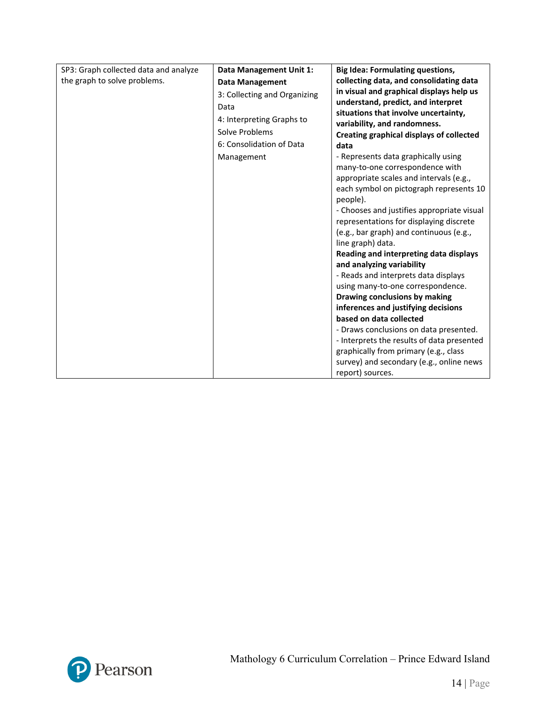| SP3: Graph collected data and analyze | Data Management Unit 1:      | <b>Big Idea: Formulating questions,</b>                        |
|---------------------------------------|------------------------------|----------------------------------------------------------------|
| the graph to solve problems.          | <b>Data Management</b>       | collecting data, and consolidating data                        |
|                                       | 3: Collecting and Organizing | in visual and graphical displays help us                       |
|                                       | Data                         | understand, predict, and interpret                             |
|                                       | 4: Interpreting Graphs to    | situations that involve uncertainty,                           |
|                                       | Solve Problems               | variability, and randomness.                                   |
|                                       | 6: Consolidation of Data     | Creating graphical displays of collected                       |
|                                       |                              | data                                                           |
|                                       | Management                   | - Represents data graphically using                            |
|                                       |                              | many-to-one correspondence with                                |
|                                       |                              | appropriate scales and intervals (e.g.,                        |
|                                       |                              | each symbol on pictograph represents 10                        |
|                                       |                              | people).                                                       |
|                                       |                              | - Chooses and justifies appropriate visual                     |
|                                       |                              | representations for displaying discrete                        |
|                                       |                              | (e.g., bar graph) and continuous (e.g.,                        |
|                                       |                              | line graph) data.                                              |
|                                       |                              | Reading and interpreting data displays                         |
|                                       |                              | and analyzing variability                                      |
|                                       |                              | - Reads and interprets data displays                           |
|                                       |                              | using many-to-one correspondence.                              |
|                                       |                              | Drawing conclusions by making                                  |
|                                       |                              | inferences and justifying decisions<br>based on data collected |
|                                       |                              |                                                                |
|                                       |                              | - Draws conclusions on data presented.                         |
|                                       |                              | - Interprets the results of data presented                     |
|                                       |                              | graphically from primary (e.g., class                          |
|                                       |                              | survey) and secondary (e.g., online news                       |
|                                       |                              | report) sources.                                               |